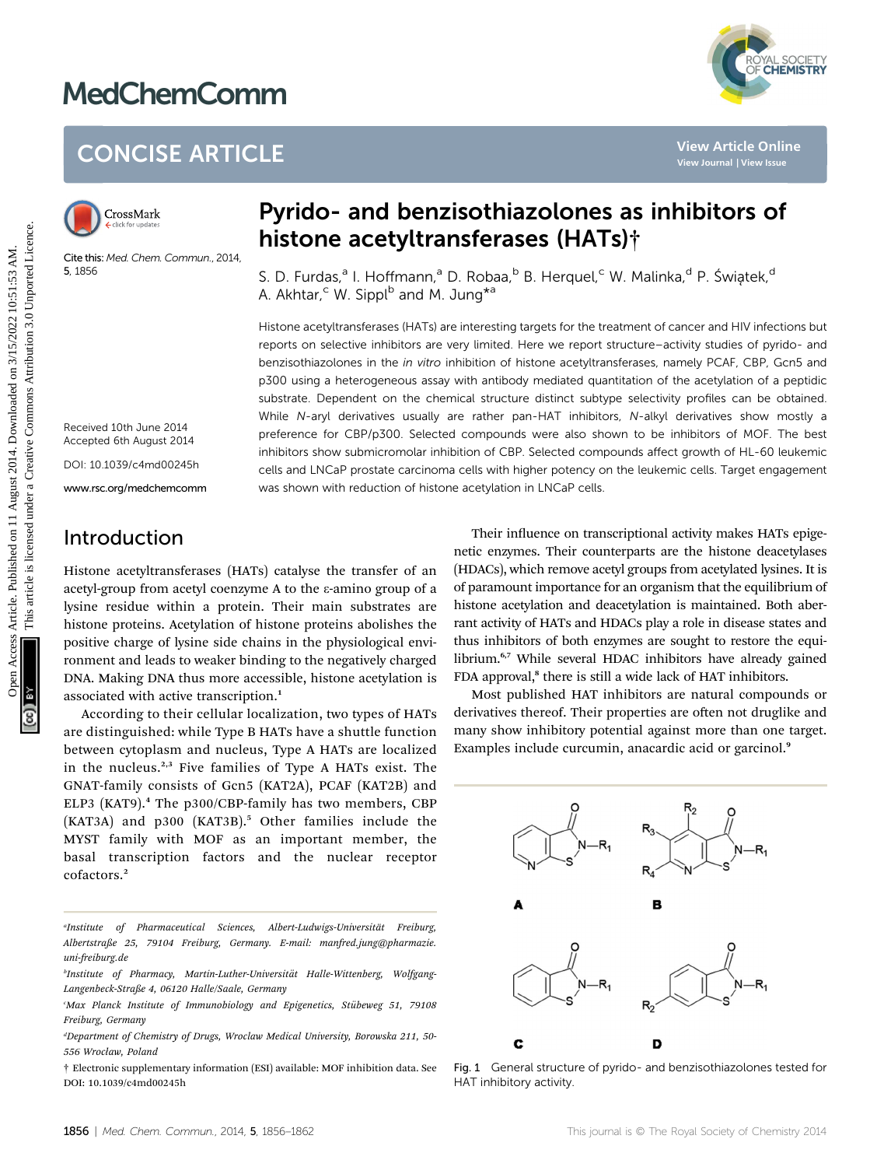# MedChemComm



## CONCISE ARTICLE

Cite this: Med. Chem. Commun., 2014, 5, 1856

## Pyrido- and benzisothiazolones as inhibitors of histone acetyltransferases (HATs)†

S. D. Furdas,<sup>a</sup> I. Hoffmann,<sup>a</sup> D. Robaa,<sup>b</sup> B. Herquel,<sup>c</sup> W. Malinka,<sup>d</sup> P. Światek,<sup>d</sup> A. Akhtar,<sup>c</sup> W. Sippl<sup>b</sup> and M. Jung<sup>\*a</sup>

Histone acetyltransferases (HATs) are interesting targets for the treatment of cancer and HIV infections but reports on selective inhibitors are very limited. Here we report structure–activity studies of pyrido- and benzisothiazolones in the in vitro inhibition of histone acetyltransferases, namely PCAF, CBP, Gcn5 and p300 using a heterogeneous assay with antibody mediated quantitation of the acetylation of a peptidic substrate. Dependent on the chemical structure distinct subtype selectivity profiles can be obtained. While N-aryl derivatives usually are rather pan-HAT inhibitors, N-alkyl derivatives show mostly a preference for CBP/p300. Selected compounds were also shown to be inhibitors of MOF. The best inhibitors show submicromolar inhibition of CBP. Selected compounds affect growth of HL-60 leukemic cells and LNCaP prostate carcinoma cells with higher potency on the leukemic cells. Target engagement was shown with reduction of histone acetylation in LNCaP cells. CONCISE ARTICLE<br>
Solutions and **benzisothiazolones as inhibitors of**<br> **Examplementary of this time acception and benzisothiazolones as inhibitors of<br>
Instead and the property of the set of the content of the content of th** 

Received 10th June 2014 Accepted 6th August 2014

DOI: 10.1039/c4md00245h

www.rsc.org/medchemcomm

## Introduction

Histone acetyltransferases (HATs) catalyse the transfer of an acetyl-group from acetyl coenzyme A to the  $\varepsilon$ -amino group of a lysine residue within a protein. Their main substrates are histone proteins. Acetylation of histone proteins abolishes the positive charge of lysine side chains in the physiological environment and leads to weaker binding to the negatively charged DNA. Making DNA thus more accessible, histone acetylation is associated with active transcription.<sup>1</sup>

According to their cellular localization, two types of HATs are distinguished: while Type B HATs have a shuttle function between cytoplasm and nucleus, Type A HATs are localized in the nucleus.<sup>2,3</sup> Five families of Type A HATs exist. The GNAT-family consists of Gcn5 (KAT2A), PCAF (KAT2B) and ELP3 (KAT9).<sup>4</sup> The p300/CBP-family has two members, CBP (KAT3A) and p300 (KAT3B).<sup>5</sup> Other families include the MYST family with MOF as an important member, the basal transcription factors and the nuclear receptor cofactors.<sup>2</sup>

† Electronic supplementary information (ESI) available: MOF inhibition data. See DOI: 10.1039/c4md00245h

Their influence on transcriptional activity makes HATs epigenetic enzymes. Their counterparts are the histone deacetylases (HDACs), which remove acetyl groups from acetylated lysines. It is of paramount importance for an organism that the equilibrium of histone acetylation and deacetylation is maintained. Both aberrant activity of HATs and HDACs play a role in disease states and thus inhibitors of both enzymes are sought to restore the equilibrium.<sup>6,7</sup> While several HDAC inhibitors have already gained FDA approval,<sup>8</sup> there is still a wide lack of HAT inhibitors.

Most published HAT inhibitors are natural compounds or derivatives thereof. Their properties are often not druglike and many show inhibitory potential against more than one target. Examples include curcumin, anacardic acid or garcinol.<sup>9</sup>



Fig. 1 General structure of pyrido- and benzisothiazolones tested for HAT inhibitory activity.

<sup>&</sup>quot;Institute of Pharmaceutical Sciences, Albert-Ludwigs-Universität Freiburg, Albertstraße 25, 79104 Freiburg, Germany. E-mail: manfred.jung@pharmazie. uni-freiburg.de

<sup>&</sup>lt;sup>b</sup>Institute of Pharmacy, Martin-Luther-Universität Halle-Wittenberg, Wolfgang-Langenbeck-Straße 4, 06120 Halle/Saale, Germany

Max Planck Institute of Immunobiology and Epigenetics, Stübeweg 51, 79108<sup>.</sup> Freiburg, Germany

d Department of Chemistry of Drugs, Wroclaw Medical University, Borowska 211, 50- 556 Wrocław, Poland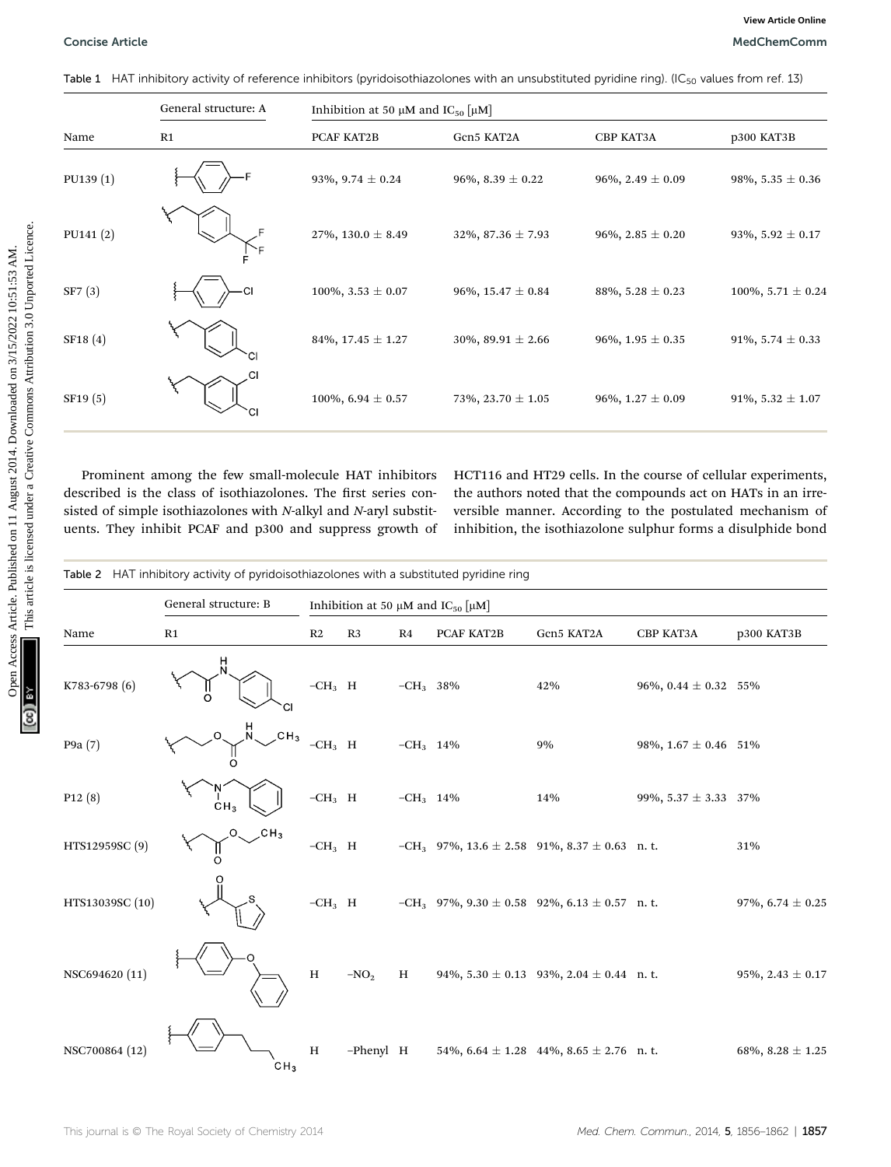|           | General structure: A                                                                                                                                                                                                                                                                                                                                 | Inhibition at 50 $\mu$ M and IC <sub>50</sub> [ $\mu$ M] |                           |                                                                                                                                                                                                                                                             |                        |
|-----------|------------------------------------------------------------------------------------------------------------------------------------------------------------------------------------------------------------------------------------------------------------------------------------------------------------------------------------------------------|----------------------------------------------------------|---------------------------|-------------------------------------------------------------------------------------------------------------------------------------------------------------------------------------------------------------------------------------------------------------|------------------------|
| Name      | R1                                                                                                                                                                                                                                                                                                                                                   | PCAF KAT2B                                               | Gen5 KAT2A                | <b>CBP KAT3A</b>                                                                                                                                                                                                                                            | p300 KAT3B             |
| PU139(1)  |                                                                                                                                                                                                                                                                                                                                                      | 93\%, 9.74 $\pm$ 0.24                                    | 96\%, 8.39 $\pm$ 0.22     | 96\%, 2.49 $\pm$ 0.09                                                                                                                                                                                                                                       | 98\%, 5.35 $\pm$ 0.36  |
| PU141 (2) |                                                                                                                                                                                                                                                                                                                                                      | $27\%, 130.0 \pm 8.49$                                   | $32\%, 87.36 \pm 7.93$    | 96\%, 2.85 $\pm$ 0.20                                                                                                                                                                                                                                       | 93%, 5.92 $\pm$ 0.17   |
| SF7(3)    |                                                                                                                                                                                                                                                                                                                                                      | $100\%, 3.53 \pm 0.07$                                   | 96%, $15.47 \pm 0.84$     | 88\%, 5.28 $\pm$ 0.23                                                                                                                                                                                                                                       | 100\%, 5.71 $\pm$ 0.24 |
| SF18(4)   |                                                                                                                                                                                                                                                                                                                                                      | 84\%, 17.45 $\pm$ 1.27                                   | $30\%$ , 89.91 $\pm$ 2.66 | 96\%, 1.95 $\pm$ 0.35                                                                                                                                                                                                                                       | 91\%, 5.74 $\pm$ 0.33  |
| SF19(5)   |                                                                                                                                                                                                                                                                                                                                                      | 100%, 6.94 $\pm$ 0.57                                    | 73%, 23.70 ± 1.05         | 96%, $1.27 \pm 0.09$                                                                                                                                                                                                                                        | 91%, 5.32 $\pm$ 1.07   |
|           | Prominent among the few small-molecule HAT inhibitors<br>described is the class of isothiazolones. The first series con-<br>sisted of simple isothiazolones with N-alkyl and N-aryl substit-<br>uents. They inhibit PCAF and p300 and suppress growth of<br>Table 2 HAT inhibitory activity of pyridoisothiazolones with a substituted pyridine ring |                                                          |                           | HCT116 and HT29 cells. In the course of cellular experiments,<br>the authors noted that the compounds act on HATs in an irre-<br>versible manner. According to the postulated mechanism of<br>inhibition, the isothiazolone sulphur forms a disulphide bond |                        |
|           |                                                                                                                                                                                                                                                                                                                                                      |                                                          |                           |                                                                                                                                                                                                                                                             |                        |
|           | General structure: B                                                                                                                                                                                                                                                                                                                                 | Inhibition at 50 $\mu$ M and IC <sub>50</sub> [ $\mu$ M] |                           |                                                                                                                                                                                                                                                             |                        |

|  | Table 2 HAT inhibitory activity of pyridoisothiazolones with a substituted pyridine ring |  |
|--|------------------------------------------------------------------------------------------|--|
|  |                                                                                          |  |

|                     | General structure: B<br>Inhibition at 50 $\mu$ M and IC <sub>50</sub> $\left[\mu\text{M}\right]$ |                           |           |             |            |                                                        |                          |                       |
|---------------------|--------------------------------------------------------------------------------------------------|---------------------------|-----------|-------------|------------|--------------------------------------------------------|--------------------------|-----------------------|
| Name                | R1                                                                                               | R2                        | R3        | R4          | PCAF KAT2B | Gcn5 KAT2A                                             | СВР КАТЗА                | p300 KAT3B            |
| K783-6798 (6)       | H<br>N<br><b>CI</b>                                                                              | $\mbox{{\small -CH}}_3$ H |           | $-CH_3$ 38% |            | 42%                                                    | 96%, 0.44 $\pm$ 0.32 55% |                       |
| P9a (7)             | $\mathcal{H}$<br>$\overline{\overline{C}}$ H <sub>3</sub><br>$\circ$                             | $-CH_3$ H                 |           | $-CH_3$ 14% |            | 9%                                                     | 98%, $1.67 \pm 0.46$ 51% |                       |
| P <sub>12</sub> (8) | CH <sub>3</sub>                                                                                  | $-CH_3$ H                 |           | $-CH_3$ 14% |            | 14%                                                    | 99%, $5.37 \pm 3.33$ 37% |                       |
| HTS12959SC (9)      | $\mathcal{L}$ CH <sub>3</sub><br>O                                                               | $-CH_3$ H                 |           |             |            | $-CH_3$ 97%, 13.6 ± 2.58 91%, 8.37 ± 0.63 n. t.        |                          | 31%                   |
| HTS13039SC (10)     |                                                                                                  | $-CH_3$ H                 |           |             |            | $-CH_3$ 97%, 9.30 $\pm$ 0.58 92%, 6.13 $\pm$ 0.57 n.t. |                          | 97%, 6.74 $\pm$ 0.25  |
| NSC694620 (11)      |                                                                                                  | $\, {\rm H}$              | $-NO2$    | H           |            | 94%, $5.30 \pm 0.13$ 93%, $2.04 \pm 0.44$ n. t.        |                          | 95%, 2.43 $\pm$ 0.17  |
| NSC700864 (12)      | CH <sub>3</sub>                                                                                  | $\mathbf H$               | -Phenyl H |             |            | 54\%, 6.64 $\pm$ 1.28 44\%, 8.65 $\pm$ 2.76 n. t.      |                          | 68\%, 8.28 $\pm$ 1.25 |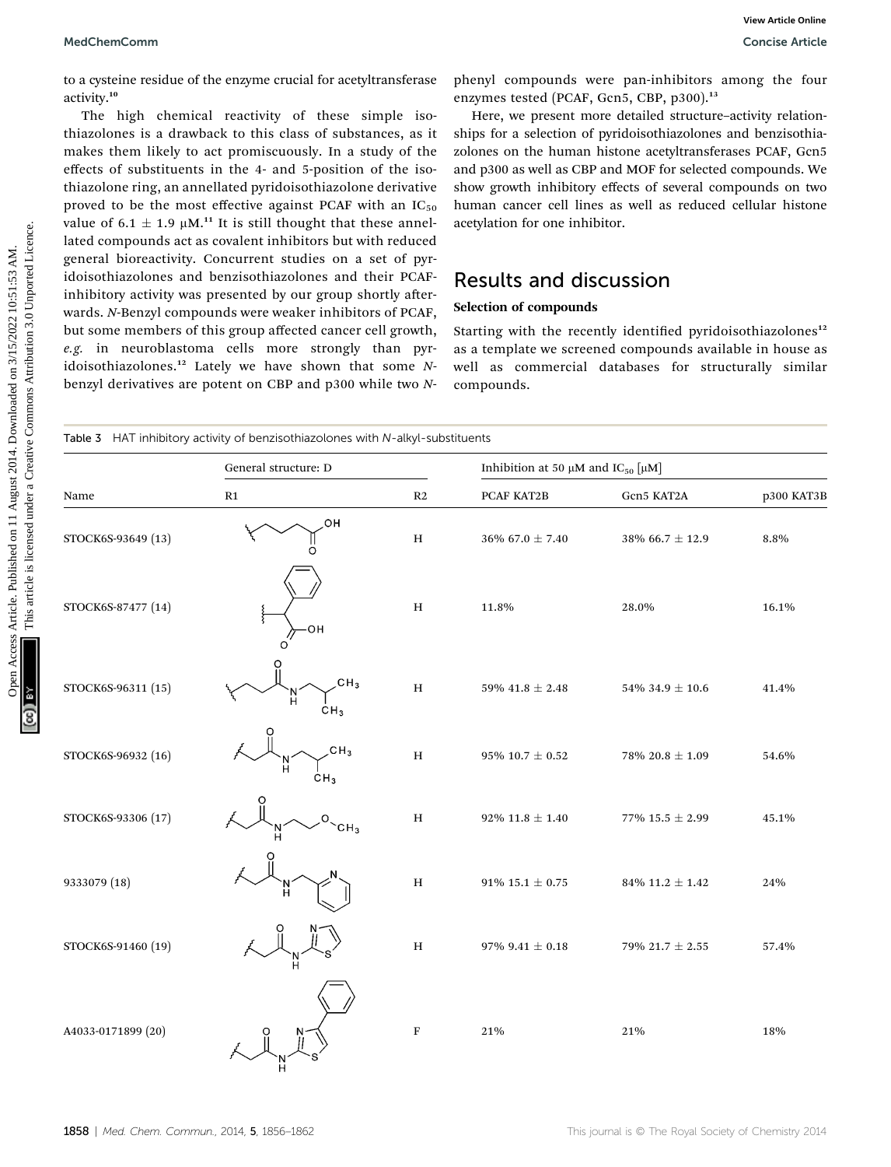#### MedChemComm Concise Article

### Results and discussion

### Selection of compounds

|                                                                                                                                                                          | View Article Online<br>MedChemComm<br><b>Concise Article</b> |                                                                                                                                                                                                                                                                                                                                                                                                                                                                                                                                                                                                         |                                                                                                                                                                                                                                                                                                                                                                                                                                                                                                                                          |                                                                                                                                                                                                                                        |                        |            |  |  |  |  |
|--------------------------------------------------------------------------------------------------------------------------------------------------------------------------|--------------------------------------------------------------|---------------------------------------------------------------------------------------------------------------------------------------------------------------------------------------------------------------------------------------------------------------------------------------------------------------------------------------------------------------------------------------------------------------------------------------------------------------------------------------------------------------------------------------------------------------------------------------------------------|------------------------------------------------------------------------------------------------------------------------------------------------------------------------------------------------------------------------------------------------------------------------------------------------------------------------------------------------------------------------------------------------------------------------------------------------------------------------------------------------------------------------------------------|----------------------------------------------------------------------------------------------------------------------------------------------------------------------------------------------------------------------------------------|------------------------|------------|--|--|--|--|
|                                                                                                                                                                          | activity. <sup>10</sup>                                      | to a cysteine residue of the enzyme crucial for acetyltransferase<br>The high chemical reactivity of these simple iso-<br>thiazolones is a drawback to this class of substances, as it<br>makes them likely to act promiscuously. In a study of the<br>effects of substituents in the 4- and 5-position of the iso-<br>thiazolone ring, an annellated pyridoisothiazolone derivative<br>proved to be the most effective against PCAF with an $IC_{50}$<br>value of 6.1 $\pm$ 1.9 µM. <sup>11</sup> It is still thought that these annel-<br>lated compounds act as covalent inhibitors but with reduced | phenyl compounds were pan-inhibitors among the four<br>enzymes tested (PCAF, Gcn5, CBP, p300). <sup>13</sup><br>Here, we present more detailed structure-activity relation-<br>ships for a selection of pyridoisothiazolones and benzisothia-<br>zolones on the human histone acetyltransferases PCAF, Gcn5<br>and p300 as well as CBP and MOF for selected compounds. We<br>show growth inhibitory effects of several compounds on two<br>human cancer cell lines as well as reduced cellular histone<br>acetylation for one inhibitor. |                                                                                                                                                                                                                                        |                        |            |  |  |  |  |
|                                                                                                                                                                          |                                                              | general bioreactivity. Concurrent studies on a set of pyr-<br>idoisothiazolones and benzisothiazolones and their PCAF-<br>inhibitory activity was presented by our group shortly after-                                                                                                                                                                                                                                                                                                                                                                                                                 |                                                                                                                                                                                                                                                                                                                                                                                                                                                                                                                                          | <b>Results and discussion</b>                                                                                                                                                                                                          |                        |            |  |  |  |  |
| This article is licensed under a Creative Commons Attribution 3.0 Unported Licence.<br>Access Article. Published on 11 August 2014. Downloaded on 3/15/2022 10:51:53 AM. |                                                              | wards. N-Benzyl compounds were weaker inhibitors of PCAF,<br>but some members of this group affected cancer cell growth,<br>e.g. in neuroblastoma cells more strongly than pyr-<br>idoisothiazolones. <sup>12</sup> Lately we have shown that some N-<br>benzyl derivatives are potent on CBP and p300 while two N-<br>Table 3 HAT inhibitory activity of benzisothiazolones with N-alkyl-substituents                                                                                                                                                                                                  |                                                                                                                                                                                                                                                                                                                                                                                                                                                                                                                                          | Selection of compounds<br>Starting with the recently identified pyridoisothiazolones <sup>12</sup><br>as a template we screened compounds available in house as<br>well as commercial databases for structurally similar<br>compounds. |                        |            |  |  |  |  |
|                                                                                                                                                                          |                                                              | General structure: D                                                                                                                                                                                                                                                                                                                                                                                                                                                                                                                                                                                    | Inhibition at 50 $\mu$ M and IC <sub>50</sub> $\mu$ M                                                                                                                                                                                                                                                                                                                                                                                                                                                                                    |                                                                                                                                                                                                                                        |                        |            |  |  |  |  |
|                                                                                                                                                                          | Name                                                         | R1                                                                                                                                                                                                                                                                                                                                                                                                                                                                                                                                                                                                      | R <sub>2</sub>                                                                                                                                                                                                                                                                                                                                                                                                                                                                                                                           | PCAF KAT2B                                                                                                                                                                                                                             | Gcn5 KAT2A             | p300 KAT3B |  |  |  |  |
|                                                                                                                                                                          | STOCK6S-93649 (13)                                           | он<br>O                                                                                                                                                                                                                                                                                                                                                                                                                                                                                                                                                                                                 | Н                                                                                                                                                                                                                                                                                                                                                                                                                                                                                                                                        | $36\%$ 67.0 $\pm$ 7.40                                                                                                                                                                                                                 | $38\%$ 66.7 $\pm$ 12.9 | 8.8%       |  |  |  |  |
|                                                                                                                                                                          | STOCK6S-87477 (14)                                           | он<br>O                                                                                                                                                                                                                                                                                                                                                                                                                                                                                                                                                                                                 | н                                                                                                                                                                                                                                                                                                                                                                                                                                                                                                                                        | 11.8%                                                                                                                                                                                                                                  | 28.0%                  | 16.1%      |  |  |  |  |
| Ä                                                                                                                                                                        | STOCK6S-96311 (15)                                           | CH <sub>3</sub><br>CH <sub>3</sub>                                                                                                                                                                                                                                                                                                                                                                                                                                                                                                                                                                      | Н                                                                                                                                                                                                                                                                                                                                                                                                                                                                                                                                        | $\pm 2.48$<br>59% 41.8                                                                                                                                                                                                                 | $54\%$ 34.9 $\pm$ 10.6 | 41.4%      |  |  |  |  |
|                                                                                                                                                                          | STOCK6S-96932 (16)                                           | CH <sub>3</sub><br>CH <sub>3</sub>                                                                                                                                                                                                                                                                                                                                                                                                                                                                                                                                                                      | $H_{\rm}$                                                                                                                                                                                                                                                                                                                                                                                                                                                                                                                                | 95% 10.7 $\pm$ 0.52                                                                                                                                                                                                                    | 78% 20.8 $\pm$ 1.09    | 54.6%      |  |  |  |  |
|                                                                                                                                                                          | STOCK6S-93306 (17)                                           | CH <sub>3</sub>                                                                                                                                                                                                                                                                                                                                                                                                                                                                                                                                                                                         | Н                                                                                                                                                                                                                                                                                                                                                                                                                                                                                                                                        | 92% 11.8 $\pm$ 1.40                                                                                                                                                                                                                    | 77% 15.5 $\pm$ 2.99    | 45.1%      |  |  |  |  |
|                                                                                                                                                                          | 9333079 (18)                                                 |                                                                                                                                                                                                                                                                                                                                                                                                                                                                                                                                                                                                         | $\, {\rm H}$                                                                                                                                                                                                                                                                                                                                                                                                                                                                                                                             | 91% 15.1 $\pm$ 0.75                                                                                                                                                                                                                    | 84\% 11.2 $\pm$ 1.42   | 24%        |  |  |  |  |
|                                                                                                                                                                          | STOCK6S-91460 (19)                                           |                                                                                                                                                                                                                                                                                                                                                                                                                                                                                                                                                                                                         | H                                                                                                                                                                                                                                                                                                                                                                                                                                                                                                                                        | 97% 9.41 $\pm$ 0.18                                                                                                                                                                                                                    | 79% 21.7 $\pm$ 2.55    | 57.4%      |  |  |  |  |
|                                                                                                                                                                          | A4033-0171899 (20)                                           |                                                                                                                                                                                                                                                                                                                                                                                                                                                                                                                                                                                                         | ${\bf F}$                                                                                                                                                                                                                                                                                                                                                                                                                                                                                                                                | 21%                                                                                                                                                                                                                                    | 21%                    | 18%        |  |  |  |  |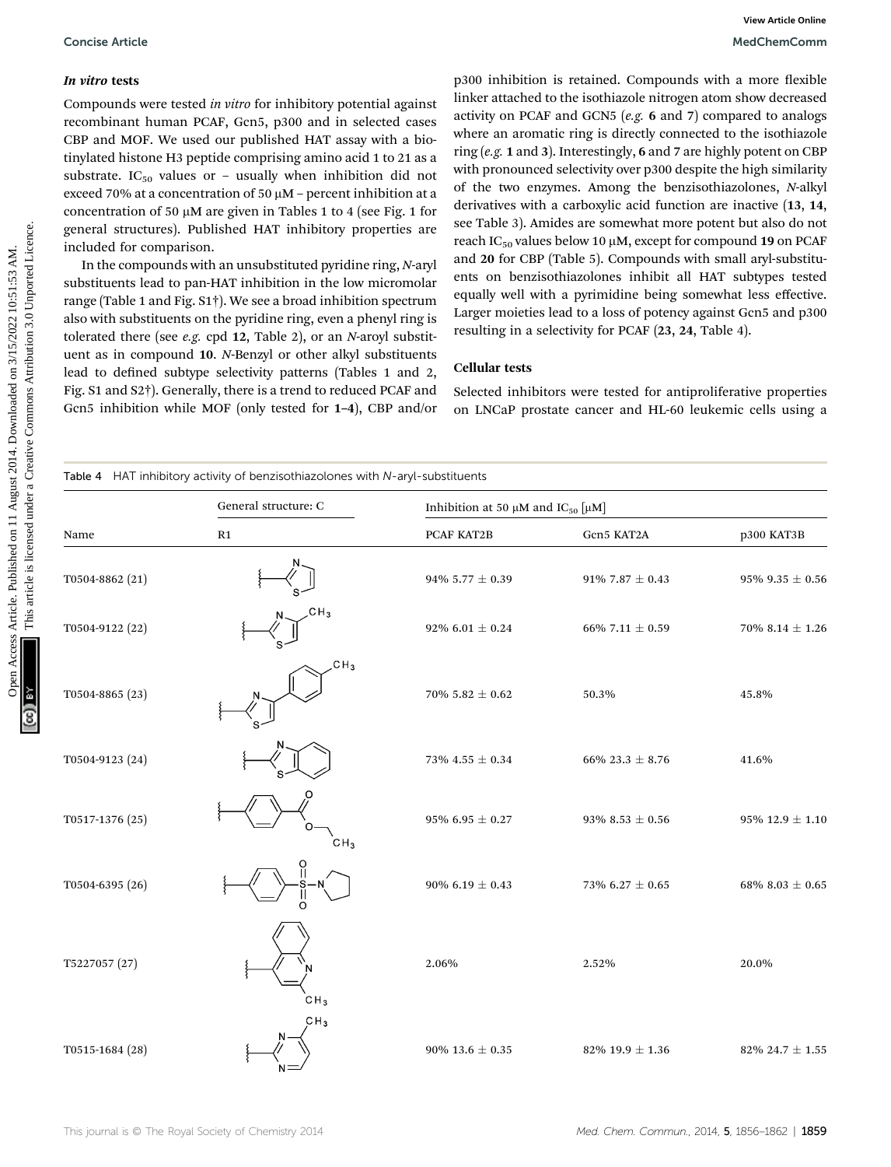### In vitro tests

### Cellular tests

| <b>Concise Article</b>                     |                                                                                                                                                                                                                                                                                                                                                                                                                                                                                                                                                                                                                                                                                                                                                                                                                                                                                                                                                                                                                                                                                                                                                                                                  |       | View Article Online<br>MedChemComm                                                     |                                                                                                                                                                                                                                                                                                                                                                                                                                                                                                                                                                                                                                                                                                                                                                                                                                                                                                                                                                                                                                                                                                                                                              |                      |  |  |
|--------------------------------------------|--------------------------------------------------------------------------------------------------------------------------------------------------------------------------------------------------------------------------------------------------------------------------------------------------------------------------------------------------------------------------------------------------------------------------------------------------------------------------------------------------------------------------------------------------------------------------------------------------------------------------------------------------------------------------------------------------------------------------------------------------------------------------------------------------------------------------------------------------------------------------------------------------------------------------------------------------------------------------------------------------------------------------------------------------------------------------------------------------------------------------------------------------------------------------------------------------|-------|----------------------------------------------------------------------------------------|--------------------------------------------------------------------------------------------------------------------------------------------------------------------------------------------------------------------------------------------------------------------------------------------------------------------------------------------------------------------------------------------------------------------------------------------------------------------------------------------------------------------------------------------------------------------------------------------------------------------------------------------------------------------------------------------------------------------------------------------------------------------------------------------------------------------------------------------------------------------------------------------------------------------------------------------------------------------------------------------------------------------------------------------------------------------------------------------------------------------------------------------------------------|----------------------|--|--|
| In vitro tests<br>included for comparison. | Compounds were tested in vitro for inhibitory potential against<br>recombinant human PCAF, Gcn5, p300 and in selected cases<br>CBP and MOF. We used our published HAT assay with a bio-<br>tinylated histone H3 peptide comprising amino acid 1 to 21 as a<br>substrate. IC <sub>50</sub> values or - usually when inhibition did not<br>exceed 70% at a concentration of 50 µM - percent inhibition at a<br>concentration of 50 µM are given in Tables 1 to 4 (see Fig. 1 for<br>general structures). Published HAT inhibitory properties are<br>In the compounds with an unsubstituted pyridine ring, N-aryl<br>substituents lead to pan-HAT inhibition in the low micromolar<br>range (Table 1 and Fig. S1 <sup>†</sup> ). We see a broad inhibition spectrum<br>also with substituents on the pyridine ring, even a phenyl ring is<br>tolerated there (see $e.g.$ cpd 12, Table 2), or an N-aroyl substit-<br>uent as in compound 10. N-Benzyl or other alkyl substituents<br>lead to defined subtype selectivity patterns (Tables 1 and 2,<br>Fig. S1 and S2 <sup>†</sup> ). Generally, there is a trend to reduced PCAF and<br>Gcn5 inhibition while MOF (only tested for 1-4), CBP and/or |       | <b>Cellular tests</b>                                                                  | p300 inhibition is retained. Compounds with a more flexible<br>linker attached to the isothiazole nitrogen atom show decreased<br>activity on PCAF and GCN5 (e.g. 6 and 7) compared to analogs<br>where an aromatic ring is directly connected to the isothiazole<br>ring (e.g. 1 and 3). Interestingly, 6 and 7 are highly potent on CBP<br>with pronounced selectivity over p300 despite the high similarity<br>of the two enzymes. Among the benzisothiazolones, N-alkyl<br>derivatives with a carboxylic acid function are inactive (13, 14,<br>see Table 3). Amides are somewhat more potent but also do not<br>reach IC <sub>50</sub> values below 10 μM, except for compound 19 on PCAF<br>and 20 for CBP (Table 5). Compounds with small aryl-substitu-<br>ents on benzisothiazolones inhibit all HAT subtypes tested<br>equally well with a pyrimidine being somewhat less effective.<br>Larger moieties lead to a loss of potency against Gcn5 and p300<br>resulting in a selectivity for PCAF (23, 24, Table 4).<br>Selected inhibitors were tested for antiproliferative properties<br>on LNCaP prostate cancer and HL-60 leukemic cells using a |                      |  |  |
|                                            | Table 4 HAT inhibitory activity of benzisothiazolones with N-aryl-substituents                                                                                                                                                                                                                                                                                                                                                                                                                                                                                                                                                                                                                                                                                                                                                                                                                                                                                                                                                                                                                                                                                                                   |       |                                                                                        |                                                                                                                                                                                                                                                                                                                                                                                                                                                                                                                                                                                                                                                                                                                                                                                                                                                                                                                                                                                                                                                                                                                                                              |                      |  |  |
| Name                                       | General structure: C<br>R1                                                                                                                                                                                                                                                                                                                                                                                                                                                                                                                                                                                                                                                                                                                                                                                                                                                                                                                                                                                                                                                                                                                                                                       |       | Inhibition at 50 $\mu$ M and IC <sub>50</sub> $\left[\mu\text{M}\right]$<br>PCAF KAT2B | Gen5 KAT2A                                                                                                                                                                                                                                                                                                                                                                                                                                                                                                                                                                                                                                                                                                                                                                                                                                                                                                                                                                                                                                                                                                                                                   | p300 KAT3B           |  |  |
| T0504-8862 (21)                            |                                                                                                                                                                                                                                                                                                                                                                                                                                                                                                                                                                                                                                                                                                                                                                                                                                                                                                                                                                                                                                                                                                                                                                                                  |       | 94% 5.77 $\pm$ 0.39                                                                    | 91% 7.87 $\pm$ 0.43                                                                                                                                                                                                                                                                                                                                                                                                                                                                                                                                                                                                                                                                                                                                                                                                                                                                                                                                                                                                                                                                                                                                          | $95\%~9.35 \pm 0.56$ |  |  |
| T0504-9122 (22)                            |                                                                                                                                                                                                                                                                                                                                                                                                                                                                                                                                                                                                                                                                                                                                                                                                                                                                                                                                                                                                                                                                                                                                                                                                  |       | 92% 6.01 $\pm$ 0.24                                                                    | 66% 7.11 $\pm$ 0.59                                                                                                                                                                                                                                                                                                                                                                                                                                                                                                                                                                                                                                                                                                                                                                                                                                                                                                                                                                                                                                                                                                                                          | 70\% 8.14 $\pm$ 1.26 |  |  |
| T0504-8865 (23)                            | CH <sub>3</sub>                                                                                                                                                                                                                                                                                                                                                                                                                                                                                                                                                                                                                                                                                                                                                                                                                                                                                                                                                                                                                                                                                                                                                                                  |       | $70\% 5.82 \pm 0.62$                                                                   | 50.3%                                                                                                                                                                                                                                                                                                                                                                                                                                                                                                                                                                                                                                                                                                                                                                                                                                                                                                                                                                                                                                                                                                                                                        | 45.8%                |  |  |
| T0504-9123 (24)                            |                                                                                                                                                                                                                                                                                                                                                                                                                                                                                                                                                                                                                                                                                                                                                                                                                                                                                                                                                                                                                                                                                                                                                                                                  |       | 73% 4.55 $\pm$ 0.34                                                                    | 66% 23.3 $\pm$ 8.76                                                                                                                                                                                                                                                                                                                                                                                                                                                                                                                                                                                                                                                                                                                                                                                                                                                                                                                                                                                                                                                                                                                                          | 41.6%                |  |  |
| T0517-1376 (25)                            | CH <sub>3</sub>                                                                                                                                                                                                                                                                                                                                                                                                                                                                                                                                                                                                                                                                                                                                                                                                                                                                                                                                                                                                                                                                                                                                                                                  |       | $95\%$ 6.95 $\pm$ 0.27                                                                 | 93% 8.53 $\pm$ 0.56                                                                                                                                                                                                                                                                                                                                                                                                                                                                                                                                                                                                                                                                                                                                                                                                                                                                                                                                                                                                                                                                                                                                          | 95% 12.9 $\pm$ 1.10  |  |  |
| T0504-6395 (26)                            |                                                                                                                                                                                                                                                                                                                                                                                                                                                                                                                                                                                                                                                                                                                                                                                                                                                                                                                                                                                                                                                                                                                                                                                                  |       | 90% 6.19 $\pm$ 0.43                                                                    | 73% $6.27 \pm 0.65$                                                                                                                                                                                                                                                                                                                                                                                                                                                                                                                                                                                                                                                                                                                                                                                                                                                                                                                                                                                                                                                                                                                                          | 68% 8.03 $\pm$ 0.65  |  |  |
| T5227057 (27)                              | CH <sub>3</sub>                                                                                                                                                                                                                                                                                                                                                                                                                                                                                                                                                                                                                                                                                                                                                                                                                                                                                                                                                                                                                                                                                                                                                                                  | 2.06% |                                                                                        | 2.52%                                                                                                                                                                                                                                                                                                                                                                                                                                                                                                                                                                                                                                                                                                                                                                                                                                                                                                                                                                                                                                                                                                                                                        | 20.0%                |  |  |
| T0515-1684 (28)                            | CH <sub>3</sub>                                                                                                                                                                                                                                                                                                                                                                                                                                                                                                                                                                                                                                                                                                                                                                                                                                                                                                                                                                                                                                                                                                                                                                                  |       | 90% 13.6 $\pm$ 0.35                                                                    | 82\% 19.9 $\pm$ 1.36                                                                                                                                                                                                                                                                                                                                                                                                                                                                                                                                                                                                                                                                                                                                                                                                                                                                                                                                                                                                                                                                                                                                         | 82% 24.7 $\pm$ 1.55  |  |  |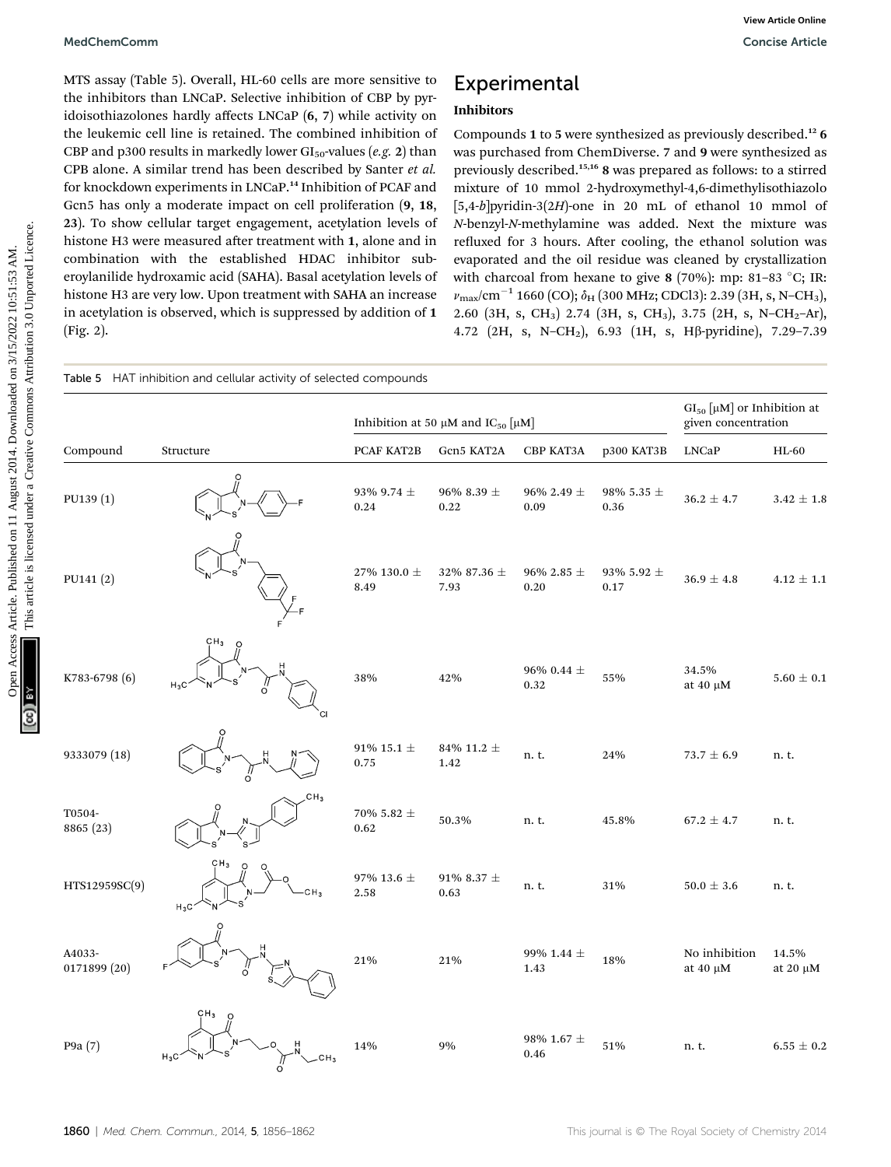## Experimental

### Inhibitors

| MedChemComm            |                                                                                                                                                                                                                                                                                                                                                                                                                                                                                                                                                                                                                                                                                                                                                                                                                                                                                                                                                                     |                         |                                                       |                        |                        |                                                                                                                                                                                                                                                                                                                                                                                                                                                                                                                                                                                                                                                                                                                                                                                                                                                                                                                            | <b>View Article Online</b><br><b>Concise Article</b> |
|------------------------|---------------------------------------------------------------------------------------------------------------------------------------------------------------------------------------------------------------------------------------------------------------------------------------------------------------------------------------------------------------------------------------------------------------------------------------------------------------------------------------------------------------------------------------------------------------------------------------------------------------------------------------------------------------------------------------------------------------------------------------------------------------------------------------------------------------------------------------------------------------------------------------------------------------------------------------------------------------------|-------------------------|-------------------------------------------------------|------------------------|------------------------|----------------------------------------------------------------------------------------------------------------------------------------------------------------------------------------------------------------------------------------------------------------------------------------------------------------------------------------------------------------------------------------------------------------------------------------------------------------------------------------------------------------------------------------------------------------------------------------------------------------------------------------------------------------------------------------------------------------------------------------------------------------------------------------------------------------------------------------------------------------------------------------------------------------------------|------------------------------------------------------|
| (Fig. 2).              | MTS assay (Table 5). Overall, HL-60 cells are more sensitive to<br>the inhibitors than LNCaP. Selective inhibition of CBP by pyr-<br>idoisothiazolones hardly affects LNCaP (6, 7) while activity on<br>the leukemic cell line is retained. The combined inhibition of<br>CBP and p300 results in markedly lower $GI_{50}$ -values (e.g. 2) than<br>CPB alone. A similar trend has been described by Santer et al.<br>for knockdown experiments in LNCaP. <sup>14</sup> Inhibition of PCAF and<br>Gcn5 has only a moderate impact on cell proliferation (9, 18,<br>23). To show cellular target engagement, acetylation levels of<br>histone H3 were measured after treatment with 1, alone and in<br>combination with the established HDAC inhibitor sub-<br>eroylanilide hydroxamic acid (SAHA). Basal acetylation levels of<br>histone H3 are very low. Upon treatment with SAHA an increase<br>in acetylation is observed, which is suppressed by addition of 1 |                         | <b>Inhibitors</b>                                     | <b>Experimental</b>    |                        | Compounds 1 to 5 were synthesized as previously described. <sup>12</sup> 6<br>was purchased from ChemDiverse. 7 and 9 were synthesized as<br>previously described. <sup>15,16</sup> 8 was prepared as follows: to a stirred<br>mixture of 10 mmol 2-hydroxymethyl-4,6-dimethylisothiazolo<br>$[5,4-b]$ pyridin-3(2H)-one in 20 mL of ethanol 10 mmol of<br>N-benzyl-N-methylamine was added. Next the mixture was<br>refluxed for 3 hours. After cooling, the ethanol solution was<br>evaporated and the oil residue was cleaned by crystallization<br>with charcoal from hexane to give 8 (70%): mp: 81-83 °C; IR:<br>$v_{\text{max}}/\text{cm}^{-1}$ 1660 (CO); $\delta_{\text{H}}$ (300 MHz; CDCl3): 2.39 (3H, s, N-CH <sub>3</sub> ),<br>2.60 (3H, s, CH <sub>3</sub> ) 2.74 (3H, s, CH <sub>3</sub> ), 3.75 (2H, s, N-CH <sub>2</sub> -Ar),<br>4.72 (2H, s, N-CH <sub>2</sub> ), 6.93 (1H, s, Hβ-pyridine), 7.29-7.39 |                                                      |
|                        | Table 5 HAT inhibition and cellular activity of selected compounds                                                                                                                                                                                                                                                                                                                                                                                                                                                                                                                                                                                                                                                                                                                                                                                                                                                                                                  |                         |                                                       |                        |                        |                                                                                                                                                                                                                                                                                                                                                                                                                                                                                                                                                                                                                                                                                                                                                                                                                                                                                                                            |                                                      |
|                        |                                                                                                                                                                                                                                                                                                                                                                                                                                                                                                                                                                                                                                                                                                                                                                                                                                                                                                                                                                     |                         | Inhibition at 50 $\mu$ M and IC <sub>50</sub> $\mu$ M |                        |                        | $GI_{50}$ [µM] or Inhibition at<br>given concentration                                                                                                                                                                                                                                                                                                                                                                                                                                                                                                                                                                                                                                                                                                                                                                                                                                                                     |                                                      |
| Compound               | Structure                                                                                                                                                                                                                                                                                                                                                                                                                                                                                                                                                                                                                                                                                                                                                                                                                                                                                                                                                           | PCAF KAT2B              | Gen5 KAT2A                                            | CBP KAT3A              | p300 KAT3B             | <b>LNCaP</b>                                                                                                                                                                                                                                                                                                                                                                                                                                                                                                                                                                                                                                                                                                                                                                                                                                                                                                               | $HL-60$                                              |
| PU139 (1)              |                                                                                                                                                                                                                                                                                                                                                                                                                                                                                                                                                                                                                                                                                                                                                                                                                                                                                                                                                                     | 93% 9.74 $\pm$<br>0.24  | 96% 8.39 $\pm$<br>0.22                                | 96% 2.49 $\pm$<br>0.09 | 98% 5.35 $\pm$<br>0.36 | $36.2 \pm 4.7$                                                                                                                                                                                                                                                                                                                                                                                                                                                                                                                                                                                                                                                                                                                                                                                                                                                                                                             | $3.42 \pm 1.8$                                       |
| PU141 (2)              |                                                                                                                                                                                                                                                                                                                                                                                                                                                                                                                                                                                                                                                                                                                                                                                                                                                                                                                                                                     | 27% 130.0 $\pm$<br>8.49 | 32% 87.36 $\pm$<br>7.93                               | 96% 2.85 $\pm$<br>0.20 | 93% 5.92 $\pm$<br>0.17 | $36.9 \pm 4.8$                                                                                                                                                                                                                                                                                                                                                                                                                                                                                                                                                                                                                                                                                                                                                                                                                                                                                                             | $4.12 \pm 1.1$                                       |
| K783-6798 (6)          | çн <sub>з</sub><br>$H_3C$                                                                                                                                                                                                                                                                                                                                                                                                                                                                                                                                                                                                                                                                                                                                                                                                                                                                                                                                           | 38%                     | 42%                                                   | 96% 0.44 $\pm$<br>0.32 | 55%                    | 34.5%<br>at $40 \mu M$                                                                                                                                                                                                                                                                                                                                                                                                                                                                                                                                                                                                                                                                                                                                                                                                                                                                                                     | $5.60 \pm 0.1$                                       |
| 9333079 (18)           |                                                                                                                                                                                                                                                                                                                                                                                                                                                                                                                                                                                                                                                                                                                                                                                                                                                                                                                                                                     | 91% 15.1 $\pm$<br>0.75  | 84% 11.2 $\pm$<br>1.42                                | n. t.                  | 24%                    | $73.7 \pm 6.9$                                                                                                                                                                                                                                                                                                                                                                                                                                                                                                                                                                                                                                                                                                                                                                                                                                                                                                             | n.t.                                                 |
| T0504-<br>8865 (23)    |                                                                                                                                                                                                                                                                                                                                                                                                                                                                                                                                                                                                                                                                                                                                                                                                                                                                                                                                                                     | 70% 5.82 $\pm$<br>0.62  | 50.3%                                                 | n. t.                  | 45.8%                  | $67.2 \pm 4.7$                                                                                                                                                                                                                                                                                                                                                                                                                                                                                                                                                                                                                                                                                                                                                                                                                                                                                                             | n.t.                                                 |
| HTS12959SC(9)          |                                                                                                                                                                                                                                                                                                                                                                                                                                                                                                                                                                                                                                                                                                                                                                                                                                                                                                                                                                     | 97% 13.6 ±<br>2.58      | 91% 8.37 $\pm$<br>0.63                                | n.t.                   | 31%                    | $50.0 \pm 3.6$                                                                                                                                                                                                                                                                                                                                                                                                                                                                                                                                                                                                                                                                                                                                                                                                                                                                                                             | n.t.                                                 |
| A4033-<br>0171899 (20) |                                                                                                                                                                                                                                                                                                                                                                                                                                                                                                                                                                                                                                                                                                                                                                                                                                                                                                                                                                     | 21%                     | 21%                                                   | 99% 1.44 ±<br>1.43     | 18%                    | No inhibition<br>at $40 \mu M$                                                                                                                                                                                                                                                                                                                                                                                                                                                                                                                                                                                                                                                                                                                                                                                                                                                                                             | 14.5%<br>at $20 \mu M$                               |
| P9a (7)                |                                                                                                                                                                                                                                                                                                                                                                                                                                                                                                                                                                                                                                                                                                                                                                                                                                                                                                                                                                     | 14%                     | 9%                                                    | 98% 1.67 ±<br>0.46     | 51%                    | n. t.                                                                                                                                                                                                                                                                                                                                                                                                                                                                                                                                                                                                                                                                                                                                                                                                                                                                                                                      | $6.55 \pm 0.2$                                       |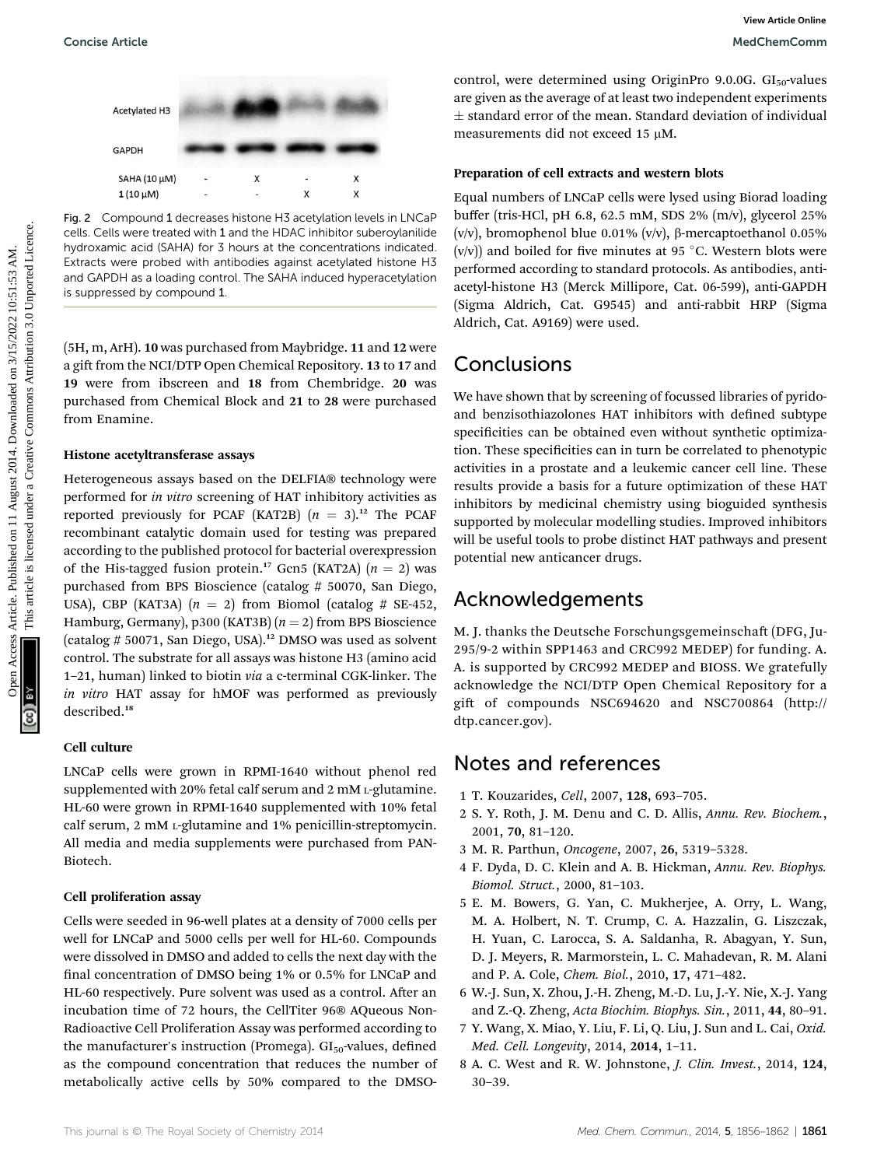

Fig. 2 Compound 1 decreases histone H3 acetylation levels in LNCaP cells. Cells were treated with 1 and the HDAC inhibitor suberoylanilide hydroxamic acid (SAHA) for 3 hours at the concentrations indicated. Extracts were probed with antibodies against acetylated histone H3 and GAPDH as a loading control. The SAHA induced hyperacetylation is suppressed by compound 1.

(5H, m, ArH). 10 was purchased from Maybridge. 11 and 12 were a gift from the NCI/DTP Open Chemical Repository. 13 to 17 and 19 were from ibscreen and 18 from Chembridge. 20 was purchased from Chemical Block and 21 to 28 were purchased from Enamine.

#### Histone acetyltransferase assays

Heterogeneous assays based on the DELFIA® technology were performed for in vitro screening of HAT inhibitory activities as reported previously for PCAF (KAT2B)  $(n = 3)$ .<sup>12</sup> The PCAF recombinant catalytic domain used for testing was prepared according to the published protocol for bacterial overexpression of the His-tagged fusion protein.<sup>17</sup> Gcn5 (KAT2A)  $(n = 2)$  was purchased from BPS Bioscience (catalog # 50070, San Diego, USA), CBP (KAT3A)  $(n = 2)$  from Biomol (catalog # SE-452, Hamburg, Germany), p300 (KAT3B)  $(n = 2)$  from BPS Bioscience (catalog # 50071, San Diego, USA).<sup>12</sup> DMSO was used as solvent control. The substrate for all assays was histone H3 (amino acid 1–21, human) linked to biotin via a c-terminal CGK-linker. The in vitro HAT assay for hMOF was performed as previously described.<sup>18</sup> Concise Article<br>
Access Article 2014. The properties are the restricted on 11 August 2014. The properties are the set of the set of the set of the set of the set of the set of the set of the set of the set of the set of t

### Cell culture

LNCaP cells were grown in RPMI-1640 without phenol red supplemented with 20% fetal calf serum and 2 mM L-glutamine. HL-60 were grown in RPMI-1640 supplemented with 10% fetal calf serum, 2 mM L-glutamine and 1% penicillin-streptomycin. All media and media supplements were purchased from PAN-Biotech.

#### Cell proliferation assay

Cells were seeded in 96-well plates at a density of 7000 cells per well for LNCaP and 5000 cells per well for HL-60. Compounds were dissolved in DMSO and added to cells the next day with the final concentration of DMSO being 1% or 0.5% for LNCaP and HL-60 respectively. Pure solvent was used as a control. After an incubation time of 72 hours, the CellTiter 96® AQueous Non-Radioactive Cell Proliferation Assay was performed according to the manufacturer's instruction (Promega).  $GI<sub>50</sub>$ -values, defined as the compound concentration that reduces the number of metabolically active cells by 50% compared to the DMSO-

control, were determined using OriginPro 9.0.0G.  $GI<sub>50</sub>$ -values are given as the average of at least two independent experiments  $\pm$  standard error of the mean. Standard deviation of individual measurements did not exceed 15 uM.

### Preparation of cell extracts and western blots

Equal numbers of LNCaP cells were lysed using Biorad loading buffer (tris-HCl, pH 6.8, 62.5 mM, SDS 2% (m/v), glycerol 25% (v/v), bromophenol blue 0.01% (v/v),  $\beta$ -mercaptoethanol 0.05% (v/v)) and boiled for five minutes at 95 °C. Western blots were performed according to standard protocols. As antibodies, antiacetyl-histone H3 (Merck Millipore, Cat. 06-599), anti-GAPDH (Sigma Aldrich, Cat. G9545) and anti-rabbit HRP (Sigma Aldrich, Cat. A9169) were used.

### Conclusions

We have shown that by screening of focussed libraries of pyridoand benzisothiazolones HAT inhibitors with defined subtype specificities can be obtained even without synthetic optimization. These specificities can in turn be correlated to phenotypic activities in a prostate and a leukemic cancer cell line. These results provide a basis for a future optimization of these HAT inhibitors by medicinal chemistry using bioguided synthesis supported by molecular modelling studies. Improved inhibitors will be useful tools to probe distinct HAT pathways and present potential new anticancer drugs.

### Acknowledgements

M. J. thanks the Deutsche Forschungsgemeinschaft (DFG, Ju-295/9-2 within SPP1463 and CRC992 MEDEP) for funding. A. A. is supported by CRC992 MEDEP and BIOSS. We gratefully acknowledge the NCI/DTP Open Chemical Repository for a gift of compounds NSC694620 and NSC700864 (http:// dtp.cancer.gov).

## Notes and references

- 1 T. Kouzarides, Cell, 2007, 128, 693–705.
- 2 S. Y. Roth, J. M. Denu and C. D. Allis, Annu. Rev. Biochem., 2001, 70, 81–120.
- 3 M. R. Parthun, Oncogene, 2007, 26, 5319–5328.
- 4 F. Dyda, D. C. Klein and A. B. Hickman, Annu. Rev. Biophys. Biomol. Struct., 2000, 81–103.
- 5 E. M. Bowers, G. Yan, C. Mukherjee, A. Orry, L. Wang, M. A. Holbert, N. T. Crump, C. A. Hazzalin, G. Liszczak, H. Yuan, C. Larocca, S. A. Saldanha, R. Abagyan, Y. Sun, D. J. Meyers, R. Marmorstein, L. C. Mahadevan, R. M. Alani and P. A. Cole, Chem. Biol., 2010, 17, 471–482.
- 6 W.-J. Sun, X. Zhou, J.-H. Zheng, M.-D. Lu, J.-Y. Nie, X.-J. Yang and Z.-Q. Zheng, Acta Biochim. Biophys. Sin., 2011, 44, 80–91.
- 7 Y. Wang, X. Miao, Y. Liu, F. Li, Q. Liu, J. Sun and L. Cai, Oxid. Med. Cell. Longevity, 2014, 2014, 1–11.
- 8 A. C. West and R. W. Johnstone, J. Clin. Invest., 2014, 124, 30–39.